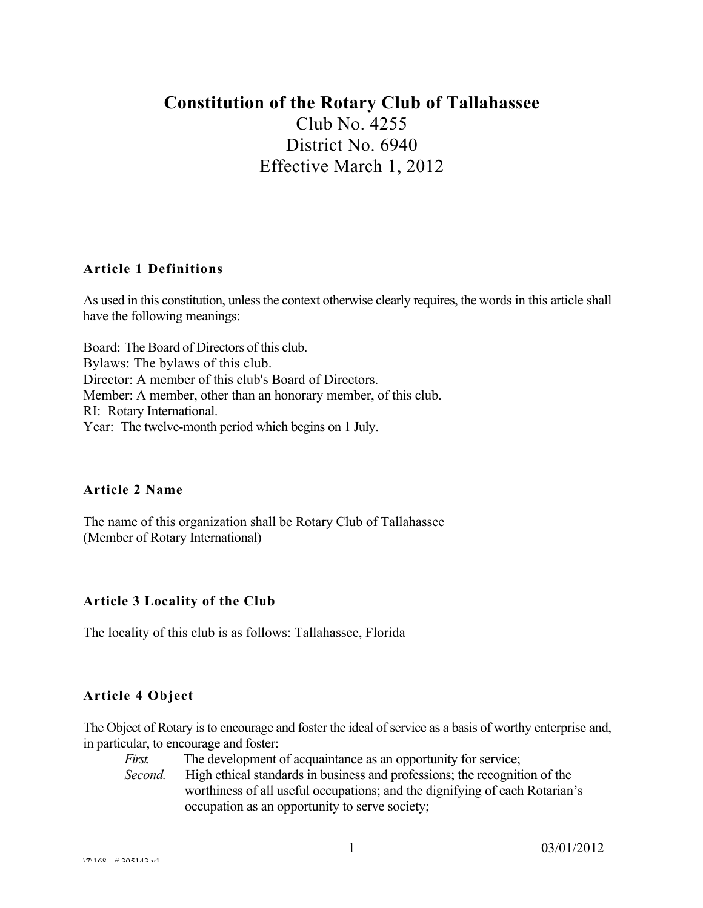# **Constitution of the Rotary Club of Tallahassee**

Club No. 4255 District No. 6940 Effective March 1, 2012

#### **Article 1 Definitions**

As used in this constitution, unless the context otherwise clearly requires, the words in this article shall have the following meanings:

Board: The Board of Directors of this club. Bylaws: The bylaws of this club. Director: A member of this club's Board of Directors. Member: A member, other than an honorary member, of this club. RI: Rotary International. Year: The twelve-month period which begins on 1 July.

#### **Article 2 Name**

The name of this organization shall be Rotary Club of Tallahassee (Member of Rotary International)

# **Article 3 Locality of the Club**

The locality of this club is as follows: Tallahassee, Florida

# **Article 4 Object**

The Object of Rotary is to encourage and foster the ideal of service as a basis of worthy enterprise and, in particular, to encourage and foster:

- *First.* The development of acquaintance as an opportunity for service;
- *Second.* High ethical standards in business and professions; the recognition of the worthiness of all useful occupations; and the dignifying of each Rotarian's occupation as an opportunity to serve society;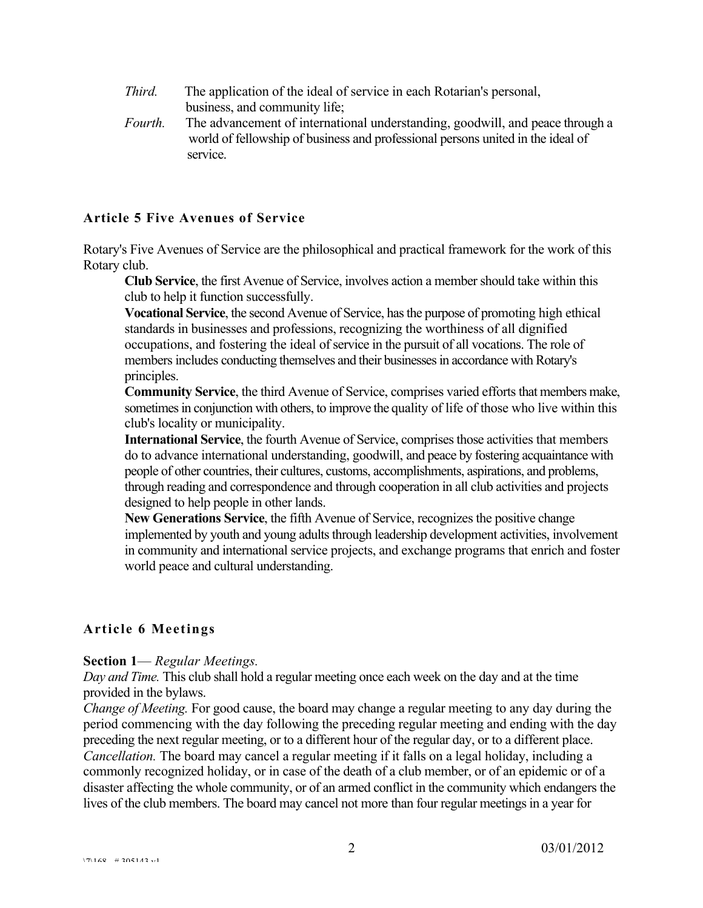- *Third.* The application of the ideal of service in each Rotarian's personal, business, and community life;
- *Fourth.* The advancement of international understanding, goodwill, and peace through a world of fellowship of business and professional persons united in the ideal of service.

#### **Article 5 Five Avenues of Service**

Rotary's Five Avenues of Service are the philosophical and practical framework for the work of this Rotary club.

**Club Service**, the first Avenue of Service, involves action a member should take within this club to help it function successfully.

**Vocational Service**, the second Avenue of Service, has the purpose of promoting high ethical standards in businesses and professions, recognizing the worthiness of all dignified occupations, and fostering the ideal of service in the pursuit of all vocations. The role of members includes conducting themselves and their businesses in accordance with Rotary's principles.

**Community Service**, the third Avenue of Service, comprises varied efforts that members make, sometimes in conjunction with others, to improve the quality of life of those who live within this club's locality or municipality.

**International Service**, the fourth Avenue of Service, comprises those activities that members do to advance international understanding, goodwill, and peace by fostering acquaintance with people of other countries, their cultures, customs, accomplishments, aspirations, and problems, through reading and correspondence and through cooperation in all club activities and projects designed to help people in other lands.

**New Generations Service**, the fifth Avenue of Service, recognizes the positive change implemented by youth and young adults through leadership development activities, involvement in community and international service projects, and exchange programs that enrich and foster world peace and cultural understanding.

# **Article 6 Meetings**

#### **Section 1**— *Regular Meetings.*

*Day and Time.* This club shall hold a regular meeting once each week on the day and at the time provided in the bylaws.

*Change of Meeting.* For good cause, the board may change a regular meeting to any day during the period commencing with the day following the preceding regular meeting and ending with the day preceding the next regular meeting, or to a different hour of the regular day, or to a different place. *Cancellation.* The board may cancel a regular meeting if it falls on a legal holiday, including a commonly recognized holiday, or in case of the death of a club member, or of an epidemic or of a disaster affecting the whole community, or of an armed conflict in the community which endangers the lives of the club members. The board may cancel not more than four regular meetings in a year for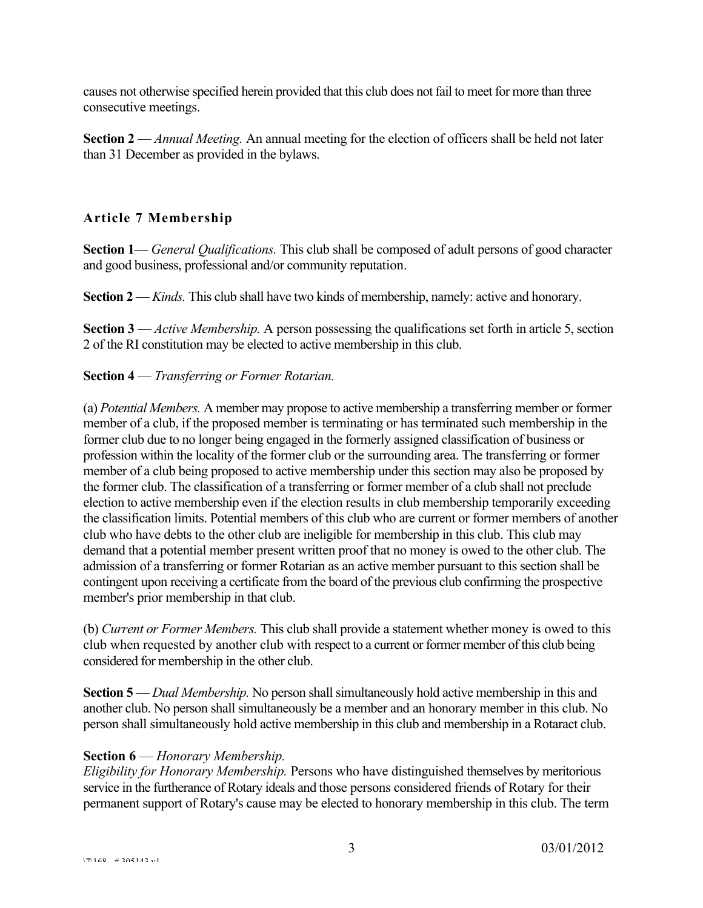causes not otherwise specified herein provided that this club does not fail to meet for more than three consecutive meetings.

**Section 2** — *Annual Meeting.* An annual meeting for the election of officers shall be held not later than 31 December as provided in the bylaws.

# **Article 7 Membership**

**Section 1**— *General Qualifications.* This club shall be composed of adult persons of good character and good business, professional and/or community reputation.

**Section 2** — *Kinds.* This club shall have two kinds of membership, namely: active and honorary.

**Section 3** — *Active Membership.* A person possessing the qualifications set forth in article 5, section 2 of the RI constitution may be elected to active membership in this club.

#### **Section 4** — *Transferring or Former Rotarian.*

(a) *Potential Members.* A member may propose to active membership a transferring member or former member of a club, if the proposed member is terminating or has terminated such membership in the former club due to no longer being engaged in the formerly assigned classification of business or profession within the locality of the former club or the surrounding area. The transferring or former member of a club being proposed to active membership under this section may also be proposed by the former club. The classification of a transferring or former member of a club shall not preclude election to active membership even if the election results in club membership temporarily exceeding the classification limits. Potential members of this club who are current or former members of another club who have debts to the other club are ineligible for membership in this club. This club may demand that a potential member present written proof that no money is owed to the other club. The admission of a transferring or former Rotarian as an active member pursuant to this section shall be contingent upon receiving a certificate from the board of the previous club confirming the prospective member's prior membership in that club.

(b) *Current or Former Members.* This club shall provide a statement whether money is owed to this club when requested by another club with respect to a current or former member of this club being considered for membership in the other club.

**Section 5** — *Dual Membership.* No person shall simultaneously hold active membership in this and another club. No person shall simultaneously be a member and an honorary member in this club. No person shall simultaneously hold active membership in this club and membership in a Rotaract club.

# **Section 6** — *Honorary Membership.*

*Eligibility for Honorary Membership.* Persons who have distinguished themselves by meritorious service in the furtherance of Rotary ideals and those persons considered friends of Rotary for their permanent support of Rotary's cause may be elected to honorary membership in this club. The term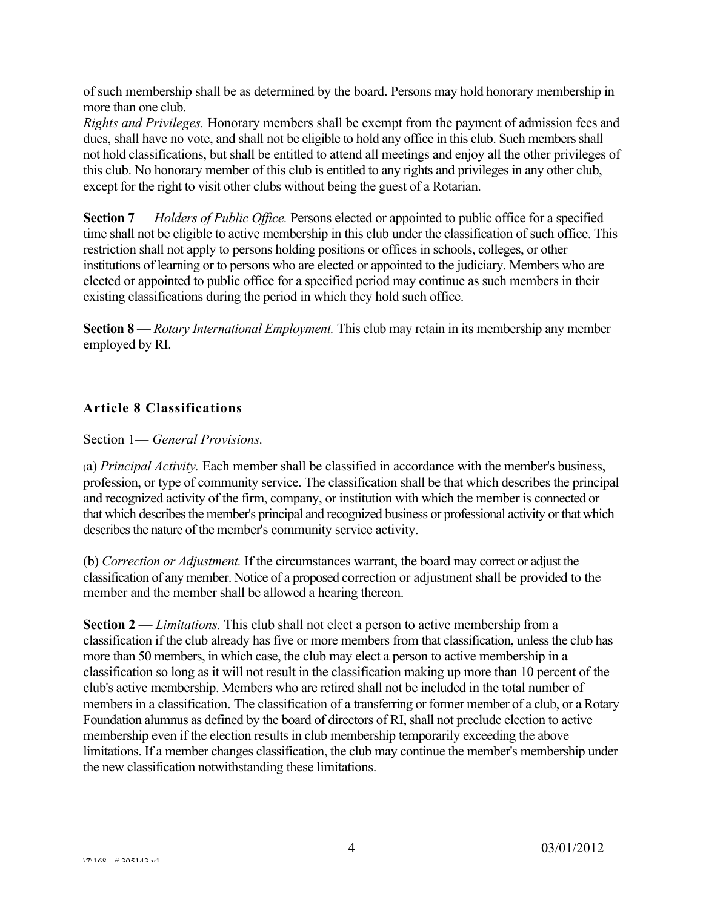of such membership shall be as determined by the board. Persons may hold honorary membership in more than one club.

*Rights and Privileges.* Honorary members shall be exempt from the payment of admission fees and dues, shall have no vote, and shall not be eligible to hold any office in this club. Such members shall not hold classifications, but shall be entitled to attend all meetings and enjoy all the other privileges of this club. No honorary member of this club is entitled to any rights and privileges in any other club, except for the right to visit other clubs without being the guest of a Rotarian.

**Section 7** — *Holders of Public Office.* Persons elected or appointed to public office for a specified time shall not be eligible to active membership in this club under the classification of such office. This restriction shall not apply to persons holding positions or offices in schools, colleges, or other institutions of learning or to persons who are elected or appointed to the judiciary. Members who are elected or appointed to public office for a specified period may continue as such members in their existing classifications during the period in which they hold such office.

**Section 8** — *Rotary International Employment.* This club may retain in its membership any member employed by RI.

# **Article 8 Classifications**

Section 1— *General Provisions.*

(a) *Principal Activity.* Each member shall be classified in accordance with the member's business, profession, or type of community service. The classification shall be that which describes the principal and recognized activity of the firm, company, or institution with which the member is connected or that which describes the member's principal and recognized business or professional activity or that which describes the nature of the member's community service activity.

(b) *Correction or Adjustment.* If the circumstances warrant, the board may correct or adjust the classification of any member. Notice of a proposed correction or adjustment shall be provided to the member and the member shall be allowed a hearing thereon.

**Section 2** — *Limitations.* This club shall not elect a person to active membership from a classification if the club already has five or more members from that classification, unless the club has more than 50 members, in which case, the club may elect a person to active membership in a classification so long as it will not result in the classification making up more than 10 percent of the club's active membership. Members who are retired shall not be included in the total number of members in a classification. The classification of a transferring or former member of a club, or a Rotary Foundation alumnus as defined by the board of directors of RI, shall not preclude election to active membership even if the election results in club membership temporarily exceeding the above limitations. If a member changes classification, the club may continue the member's membership under the new classification notwithstanding these limitations.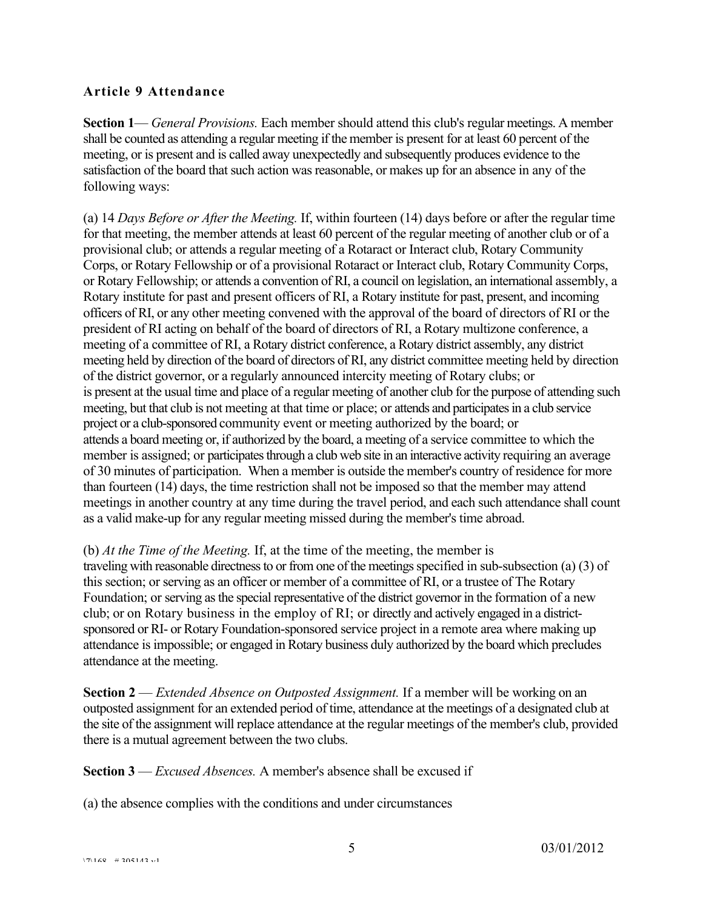# **Article 9 Attendance**

**Section 1**— *General Provisions.* Each member should attend this club's regular meetings. A member shall be counted as attending a regular meeting if the member is present for at least 60 percent of the meeting, or is present and is called away unexpectedly and subsequently produces evidence to the satisfaction of the board that such action was reasonable, or makes up for an absence in any of the following ways:

(a) 14 *Days Before or After the Meeting.* If, within fourteen (14) days before or after the regular time for that meeting, the member attends at least 60 percent of the regular meeting of another club or of a provisional club; or attends a regular meeting of a Rotaract or Interact club, Rotary Community Corps, or Rotary Fellowship or of a provisional Rotaract or Interact club, Rotary Community Corps, or Rotary Fellowship; or attends a convention of RI, a council on legislation, an international assembly, a Rotary institute for past and present officers of RI, a Rotary institute for past, present, and incoming officers of RI, or any other meeting convened with the approval of the board of directors of RI or the president of RI acting on behalf of the board of directors of RI, a Rotary multizone conference, a meeting of a committee of RI, a Rotary district conference, a Rotary district assembly, any district meeting held by direction of the board of directors of RI, any district committee meeting held by direction of the district governor, or a regularly announced intercity meeting of Rotary clubs; or is present at the usual time and place of a regular meeting of another club for the purpose of attending such meeting, but that club is not meeting at that time or place; or attends and participates in a club service project or a club-sponsored community event or meeting authorized by the board; or attends a board meeting or, if authorized by the board, a meeting of a service committee to which the member is assigned; or participates through a club web site in an interactive activity requiring an average of 30 minutes of participation. When a member is outside the member's country of residence for more than fourteen (14) days, the time restriction shall not be imposed so that the member may attend meetings in another country at any time during the travel period, and each such attendance shall count as a valid make-up for any regular meeting missed during the member's time abroad.

(b) *At the Time of the Meeting.* If, at the time of the meeting, the member is traveling with reasonable directness to or from one of the meetings specified in sub-subsection (a) (3) of this section; or serving as an officer or member of a committee of RI, or a trustee of The Rotary Foundation; or serving as the special representative of the district governor in the formation of a new club; or on Rotary business in the employ of RI; or directly and actively engaged in a districtsponsored or RI- or Rotary Foundation-sponsored service project in a remote area where making up attendance is impossible; or engaged in Rotary business duly authorized by the board which precludes attendance at the meeting.

**Section 2** — *Extended Absence on Outposted Assignment.* If a member will be working on an outposted assignment for an extended period of time, attendance at the meetings of a designated club at the site of the assignment will replace attendance at the regular meetings of the member's club, provided there is a mutual agreement between the two clubs.

**Section 3** — *Excused Absences.* A member's absence shall be excused if

(a) the absence complies with the conditions and under circumstances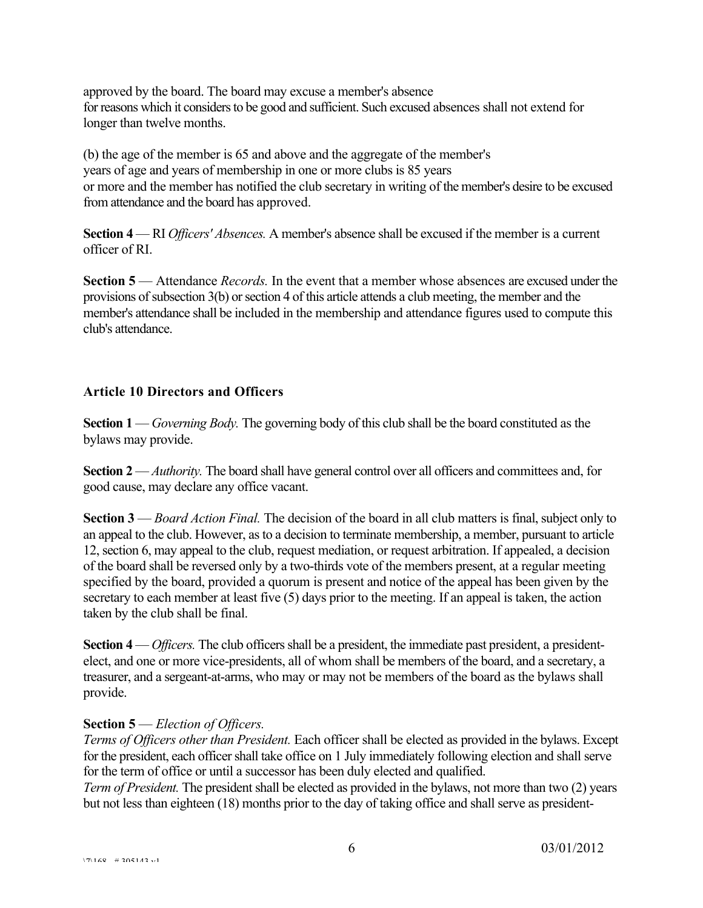approved by the board. The board may excuse a member's absence for reasons which it considers to be good and sufficient. Such excused absences shall not extend for longer than twelve months.

(b) the age of the member is 65 and above and the aggregate of the member's years of age and years of membership in one or more clubs is 85 years or more and the member has notified the club secretary in writing of the member's desire to be excused from attendance and the board has approved.

**Section 4** — RI *Officers' Absences.* A member's absence shall be excused if the member is a current officer of RI.

**Section 5** — Attendance *Records.* In the event that a member whose absences are excused under the provisions of subsection 3(b) or section 4 of this article attends a club meeting, the member and the member's attendance shall be included in the membership and attendance figures used to compute this club's attendance.

# **Article 10 Directors and Officers**

**Section 1** — *Governing Body.* The governing body of this club shall be the board constituted as the bylaws may provide.

**Section 2** — *Authority.* The board shall have general control over all officers and committees and, for good cause, may declare any office vacant.

**Section 3** — *Board Action Final.* The decision of the board in all club matters is final, subject only to an appeal to the club. However, as to a decision to terminate membership, a member, pursuant to article 12, section 6, may appeal to the club, request mediation, or request arbitration. If appealed, a decision of the board shall be reversed only by a two-thirds vote of the members present, at a regular meeting specified by the board, provided a quorum is present and notice of the appeal has been given by the secretary to each member at least five (5) days prior to the meeting. If an appeal is taken, the action taken by the club shall be final.

**Section 4** — *Officers.* The club officers shall be a president, the immediate past president, a presidentelect, and one or more vice-presidents, all of whom shall be members of the board, and a secretary, a treasurer, and a sergeant-at-arms, who may or may not be members of the board as the bylaws shall provide.

# **Section 5** — *Election of Officers.*

*Terms of Officers other than President.* Each officer shall be elected as provided in the bylaws. Except for the president, each officer shall take office on 1 July immediately following election and shall serve for the term of office or until a successor has been duly elected and qualified.

*Term of President.* The president shall be elected as provided in the bylaws, not more than two (2) years but not less than eighteen (18) months prior to the day of taking office and shall serve as president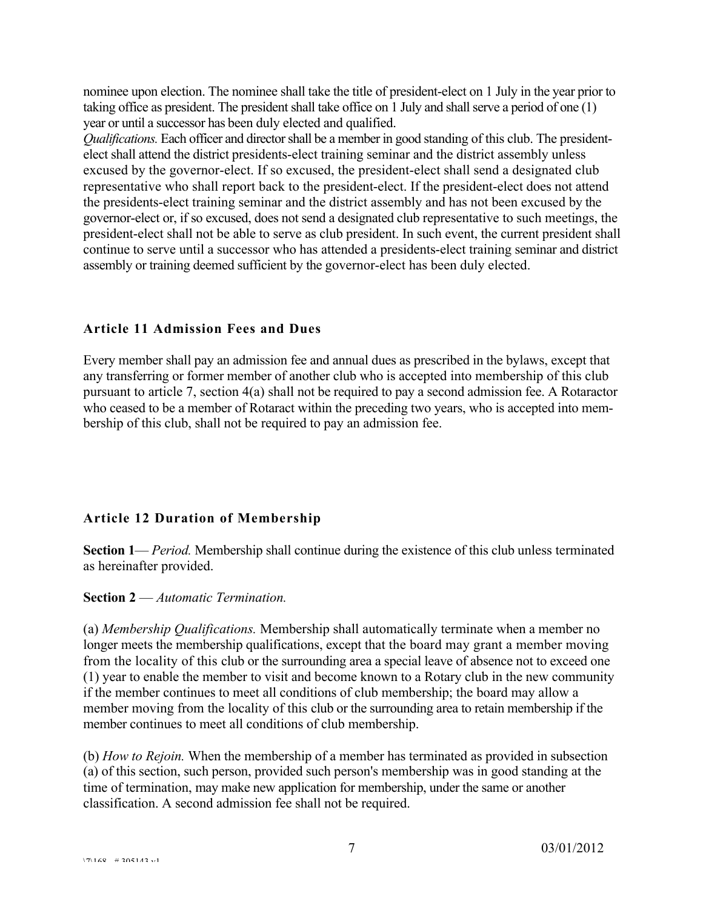nominee upon election. The nominee shall take the title of president-elect on 1 July in the year prior to taking office as president. The president shall take office on 1 July and shall serve a period of one (1) year or until a successor has been duly elected and qualified.

*Qualifications.* Each officer and director shall be a member in good standing of this club. The presidentelect shall attend the district presidents-elect training seminar and the district assembly unless excused by the governor-elect. If so excused, the president-elect shall send a designated club representative who shall report back to the president-elect. If the president-elect does not attend the presidents-elect training seminar and the district assembly and has not been excused by the governor-elect or, if so excused, does not send a designated club representative to such meetings, the president-elect shall not be able to serve as club president. In such event, the current president shall continue to serve until a successor who has attended a presidents-elect training seminar and district assembly or training deemed sufficient by the governor-elect has been duly elected.

#### **Article 11 Admission Fees and Dues**

Every member shall pay an admission fee and annual dues as prescribed in the bylaws, except that any transferring or former member of another club who is accepted into membership of this club pursuant to article 7, section 4(a) shall not be required to pay a second admission fee. A Rotaractor who ceased to be a member of Rotaract within the preceding two years, who is accepted into membership of this club, shall not be required to pay an admission fee.

#### **Article 12 Duration of Membership**

**Section 1**— *Period.* Membership shall continue during the existence of this club unless terminated as hereinafter provided.

#### **Section 2** — *Automatic Termination.*

(a) *Membership Qualifications.* Membership shall automatically terminate when a member no longer meets the membership qualifications, except that the board may grant a member moving from the locality of this club or the surrounding area a special leave of absence not to exceed one (1) year to enable the member to visit and become known to a Rotary club in the new community if the member continues to meet all conditions of club membership; the board may allow a member moving from the locality of this club or the surrounding area to retain membership if the member continues to meet all conditions of club membership.

(b) *How to Rejoin.* When the membership of a member has terminated as provided in subsection (a) of this section, such person, provided such person's membership was in good standing at the time of termination, may make new application for membership, under the same or another classification. A second admission fee shall not be required.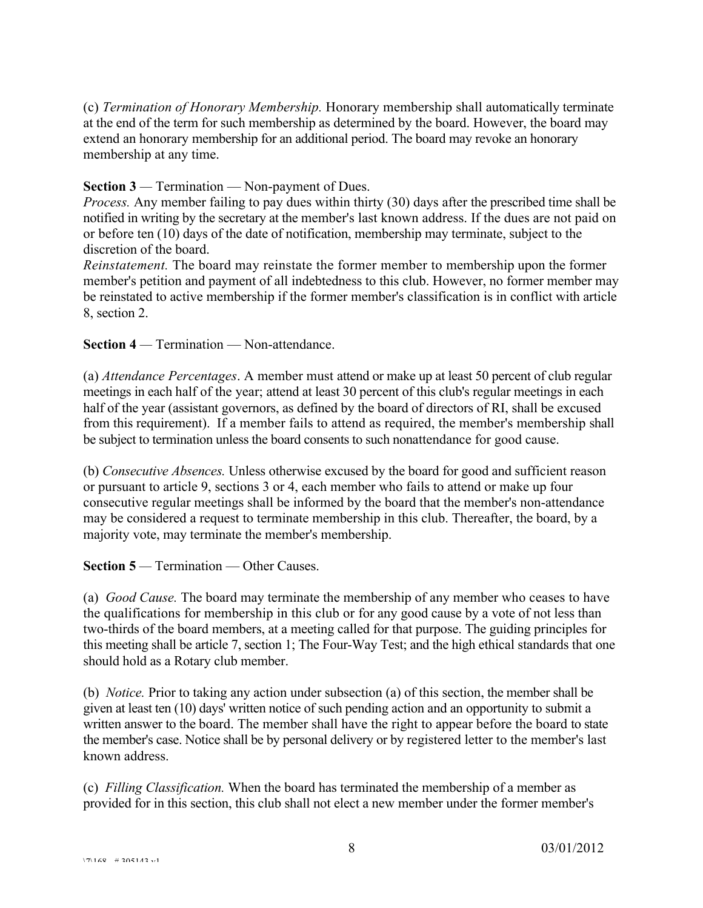(c) *Termination of Honorary Membership.* Honorary membership shall automatically terminate at the end of the term for such membership as determined by the board. However, the board may extend an honorary membership for an additional period. The board may revoke an honorary membership at any time.

#### **Section 3** — Termination — Non-payment of Dues.

*Process.* Any member failing to pay dues within thirty (30) days after the prescribed time shall be notified in writing by the secretary at the member's last known address. If the dues are not paid on or before ten (10) days of the date of notification, membership may terminate, subject to the discretion of the board.

*Reinstatement.* The board may reinstate the former member to membership upon the former member's petition and payment of all indebtedness to this club. However, no former member may be reinstated to active membership if the former member's classification is in conflict with article 8, section 2.

**Section 4** *—* Termination — Non-attendance.

(a) *Attendance Percentages*. A member must attend or make up at least 50 percent of club regular meetings in each half of the year; attend at least 30 percent of this club's regular meetings in each half of the year (assistant governors, as defined by the board of directors of RI, shall be excused from this requirement). If a member fails to attend as required, the member's membership shall be subject to termination unless the board consents to such nonattendance for good cause.

(b) *Consecutive Absences.* Unless otherwise excused by the board for good and sufficient reason or pursuant to article 9, sections 3 or 4, each member who fails to attend or make up four consecutive regular meetings shall be informed by the board that the member's non-attendance may be considered a request to terminate membership in this club. Thereafter, the board, by a majority vote, may terminate the member's membership.

**Section 5** — Termination — Other Causes.

(a) *Good Cause.* The board may terminate the membership of any member who ceases to have the qualifications for membership in this club or for any good cause by a vote of not less than two-thirds of the board members, at a meeting called for that purpose. The guiding principles for this meeting shall be article 7, section 1; The Four-Way Test; and the high ethical standards that one should hold as a Rotary club member.

(b) *Notice.* Prior to taking any action under subsection (a) of this section, the member shall be given at least ten (10) days' written notice of such pending action and an opportunity to submit a written answer to the board. The member shall have the right to appear before the board to state the member's case. Notice shall be by personal delivery or by registered letter to the member's last known address.

(c) *Filling Classification.* When the board has terminated the membership of a member as provided for in this section, this club shall not elect a new member under the former member's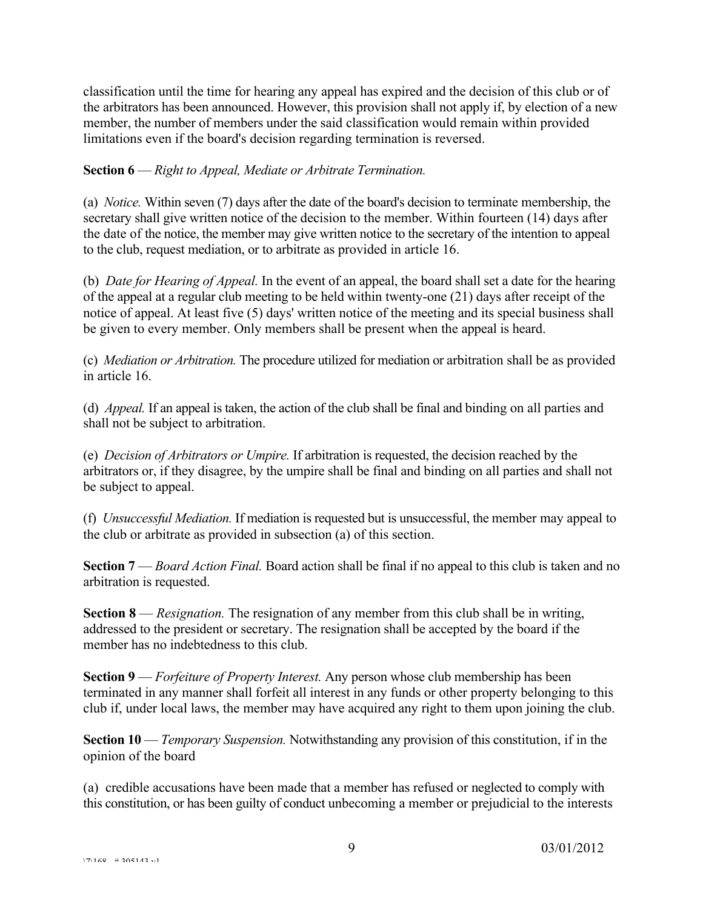classification until the time for hearing any appeal has expired and the decision of this club or of the arbitrators has been announced. However, this provision shall not apply if, by election of a new member, the number of members under the said classification would remain within provided limitations even if the board's decision regarding termination is reversed.

#### **Section 6** — *Right to Appeal, Mediate or Arbitrate Termination.*

(a) *Notice.* Within seven (7) days after the date of the board's decision to terminate membership, the secretary shall give written notice of the decision to the member. Within fourteen (14) days after the date of the notice, the member may give written notice to the secretary of the intention to appeal to the club, request mediation, or to arbitrate as provided in article 16.

(b) *Date for Hearing of Appeal.* In the event of an appeal, the board shall set a date for the hearing of the appeal at a regular club meeting to be held within twenty-one (21) days after receipt of the notice of appeal. At least five (5) days' written notice of the meeting and its special business shall be given to every member. Only members shall be present when the appeal is heard.

(c) *Mediation or Arbitration.* The procedure utilized for mediation or arbitration shall be as provided in article 16.

(d) *Appeal.* If an appeal is taken, the action of the club shall be final and binding on all parties and shall not be subject to arbitration.

(e) *Decision of Arbitrators or Umpire.* If arbitration is requested, the decision reached by the arbitrators or, if they disagree, by the umpire shall be final and binding on all parties and shall not be subject to appeal.

(f) *Unsuccessful Mediation.* If mediation is requested but is unsuccessful, the member may appeal to the club or arbitrate as provided in subsection (a) of this section.

**Section 7** — *Board Action Final.* Board action shall be final if no appeal to this club is taken and no arbitration is requested.

**Section 8** — *Resignation.* The resignation of any member from this club shall be in writing, addressed to the president or secretary. The resignation shall be accepted by the board if the member has no indebtedness to this club.

**Section 9** — *Forfeiture of Property Interest.* Any person whose club membership has been terminated in any manner shall forfeit all interest in any funds or other property belonging to this club if, under local laws, the member may have acquired any right to them upon joining the club.

**Section 10** — *Temporary Suspension*. Notwithstanding any provision of this constitution, if in the opinion of the board

(a) credible accusations have been made that a member has refused or neglected to comply with this constitution, or has been guilty of conduct unbecoming a member or prejudicial to the interests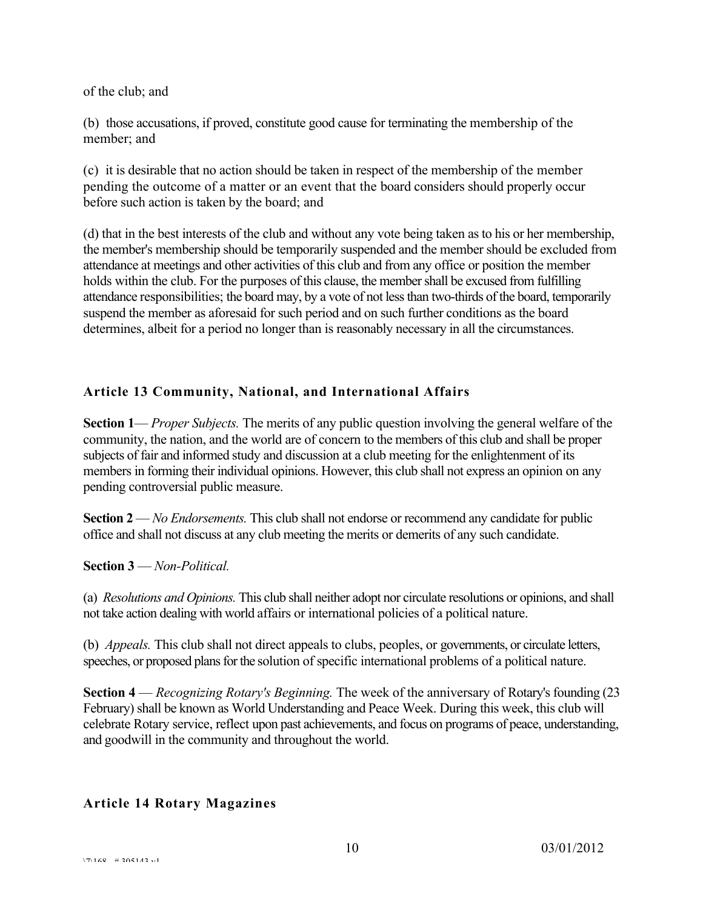of the club; and

(b) those accusations, if proved, constitute good cause for terminating the membership of the member; and

(c) it is desirable that no action should be taken in respect of the membership of the member pending the outcome of a matter or an event that the board considers should properly occur before such action is taken by the board; and

(d) that in the best interests of the club and without any vote being taken as to his or her membership, the member's membership should be temporarily suspended and the member should be excluded from attendance at meetings and other activities of this club and from any office or position the member holds within the club. For the purposes of this clause, the member shall be excused from fulfilling attendance responsibilities; the board may, by a vote of not less than two-thirds of the board, temporarily suspend the member as aforesaid for such period and on such further conditions as the board determines, albeit for a period no longer than is reasonably necessary in all the circumstances.

# **Article 13 Community, National, and International Affairs**

**Section 1**— *Proper Subjects.* The merits of any public question involving the general welfare of the community, the nation, and the world are of concern to the members of this club and shall be proper subjects of fair and informed study and discussion at a club meeting for the enlightenment of its members in forming their individual opinions. However, this club shall not express an opinion on any pending controversial public measure.

**Section 2** — *No Endorsements.* This club shall not endorse or recommend any candidate for public office and shall not discuss at any club meeting the merits or demerits of any such candidate.

**Section 3** — *Non-Political.*

(a) *Resolutions and Opinions.* This club shall neither adopt nor circulate resolutions or opinions, and shall not take action dealing with world affairs or international policies of a political nature.

(b) *Appeals.* This club shall not direct appeals to clubs, peoples, or governments, or circulate letters, speeches, or proposed plans for the solution of specific international problems of a political nature.

**Section 4** — *Recognizing Rotary's Beginning.* The week of the anniversary of Rotary's founding (23 February) shall be known as World Understanding and Peace Week. During this week, this club will celebrate Rotary service, reflect upon past achievements, and focus on programs of peace, understanding, and goodwill in the community and throughout the world.

# **Article 14 Rotary Magazines**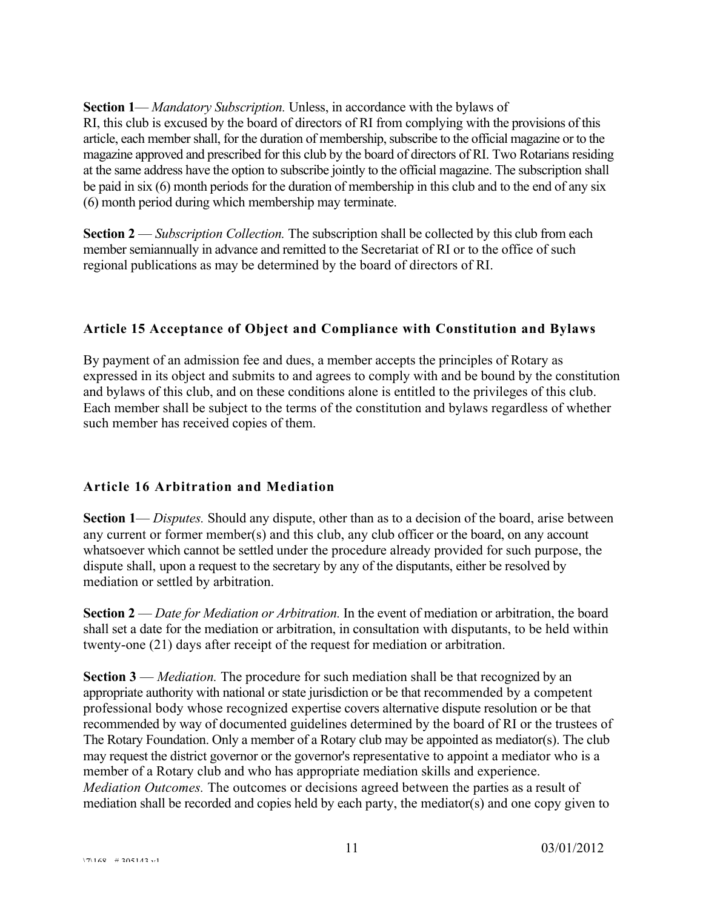**Section 1**— *Mandatory Subscription.* Unless, in accordance with the bylaws of RI, this club is excused by the board of directors of RI from complying with the provisions of this article, each member shall, for the duration of membership, subscribe to the official magazine or to the magazine approved and prescribed for this club by the board of directors of RI. Two Rotarians residing at the same address have the option to subscribe jointly to the official magazine. The subscription shall be paid in six (6) month periods for the duration of membership in this club and to the end of any six (6) month period during which membership may terminate.

**Section 2** — *Subscription Collection.* The subscription shall be collected by this club from each member semiannually in advance and remitted to the Secretariat of RI or to the office of such regional publications as may be determined by the board of directors of RI.

# **Article 15 Acceptance of Object and Compliance with Constitution and Bylaws**

By payment of an admission fee and dues, a member accepts the principles of Rotary as expressed in its object and submits to and agrees to comply with and be bound by the constitution and bylaws of this club, and on these conditions alone is entitled to the privileges of this club. Each member shall be subject to the terms of the constitution and bylaws regardless of whether such member has received copies of them.

# **Article 16 Arbitration and Mediation**

**Section 1**— *Disputes.* Should any dispute, other than as to a decision of the board, arise between any current or former member(s) and this club, any club officer or the board, on any account whatsoever which cannot be settled under the procedure already provided for such purpose, the dispute shall, upon a request to the secretary by any of the disputants, either be resolved by mediation or settled by arbitration.

**Section 2** — *Date for Mediation or Arbitration.* In the event of mediation or arbitration, the board shall set a date for the mediation or arbitration, in consultation with disputants, to be held within twenty-one (21) days after receipt of the request for mediation or arbitration.

**Section 3** — *Mediation.* The procedure for such mediation shall be that recognized by an appropriate authority with national or state jurisdiction or be that recommended by a competent professional body whose recognized expertise covers alternative dispute resolution or be that recommended by way of documented guidelines determined by the board of RI or the trustees of The Rotary Foundation. Only a member of a Rotary club may be appointed as mediator(s). The club may request the district governor or the governor's representative to appoint a mediator who is a member of a Rotary club and who has appropriate mediation skills and experience. *Mediation Outcomes.* The outcomes or decisions agreed between the parties as a result of mediation shall be recorded and copies held by each party, the mediator(s) and one copy given to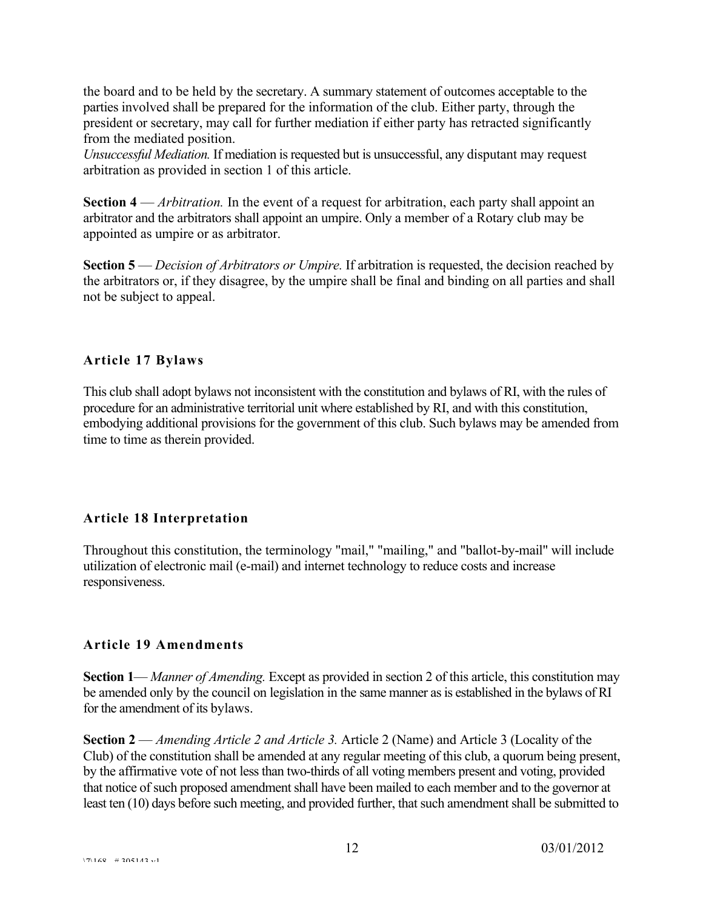the board and to be held by the secretary. A summary statement of outcomes acceptable to the parties involved shall be prepared for the information of the club. Either party, through the president or secretary, may call for further mediation if either party has retracted significantly from the mediated position.

*Unsuccessful Mediation.* If mediation is requested but is unsuccessful, any disputant may request arbitration as provided in section 1 of this article.

**Section 4** — *Arbitration.* In the event of a request for arbitration, each party shall appoint an arbitrator and the arbitrators shall appoint an umpire. Only a member of a Rotary club may be appointed as umpire or as arbitrator.

**Section 5** — *Decision of Arbitrators or Umpire.* If arbitration is requested, the decision reached by the arbitrators or, if they disagree, by the umpire shall be final and binding on all parties and shall not be subject to appeal.

#### **Article 17 Bylaws**

This club shall adopt bylaws not inconsistent with the constitution and bylaws of RI, with the rules of procedure for an administrative territorial unit where established by RI, and with this constitution, embodying additional provisions for the government of this club. Such bylaws may be amended from time to time as therein provided.

# **Article 18 Interpretation**

Throughout this constitution, the terminology "mail," "mailing," and "ballot-by-mail" will include utilization of electronic mail (e-mail) and internet technology to reduce costs and increase responsiveness.

#### **Article 19 Amendments**

**Section 1**— *Manner of Amending.* Except as provided in section 2 of this article, this constitution may be amended only by the council on legislation in the same manner as is established in the bylaws of RI for the amendment of its bylaws.

**Section 2** — *Amending Article 2 and Article 3.* Article 2 (Name) and Article 3 (Locality of the Club) of the constitution shall be amended at any regular meeting of this club, a quorum being present, by the affirmative vote of not less than two-thirds of all voting members present and voting, provided that notice of such proposed amendment shall have been mailed to each member and to the governor at least ten (10) days before such meeting, and provided further, that such amendment shall be submitted to